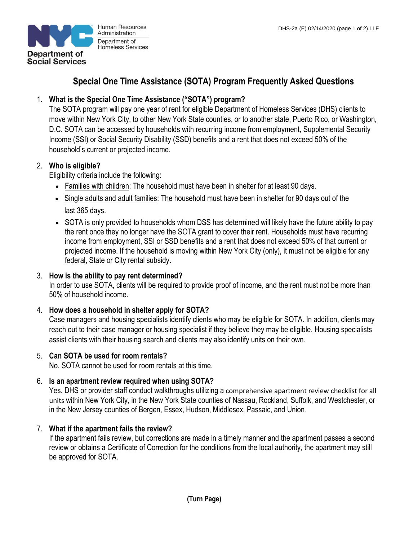

Human Resources Administration Department of **Homeless Services** 

# **Special One Time Assistance (SOTA) Program Frequently Asked Questions**

# 1. **What is the Special One Time Assistance ("SOTA") program?**

The SOTA program will pay one year of rent for eligible Department of Homeless Services (DHS) clients to move within New York City, to other New York State counties, or to another state, Puerto Rico, or Washington, D.C. SOTA can be accessed by households with recurring income from employment, Supplemental Security Income (SSI) or Social Security Disability (SSD) benefits and a rent that does not exceed 50% of the household's current or projected income.

## 2. **Who is eligible?**

Eligibility criteria include the following:

- Families with children: The household must have been in shelter for at least 90 days.
- Single adults and adult families: The household must have been in shelter for 90 days out of the last 365 days.
- SOTA is only provided to households whom DSS has determined will likely have the future ability to pay the rent once they no longer have the SOTA grant to cover their rent. Households must have recurring income from employment, SSI or SSD benefits and a rent that does not exceed 50% of that current or projected income. If the household is moving within New York City (only), it must not be eligible for any federal, State or City rental subsidy.

## 3. **How is the ability to pay rent determined?**

In order to use SOTA, clients will be required to provide proof of income, and the rent must not be more than 50% of household income.

## 4. **How does a household in shelter apply for SOTA?**

Case managers and housing specialists identify clients who may be eligible for SOTA. In addition, clients may reach out to their case manager or housing specialist if they believe they may be eligible. Housing specialists assist clients with their housing search and clients may also identify units on their own.

## 5. **Can SOTA be used for room rentals?**

No. SOTA cannot be used for room rentals at this time.

## 6. **Is an apartment review required when using SOTA?**

Yes. DHS or provider staff conduct walkthroughs utilizing a comprehensive apartment review checklist for all units within New York City, in the New York State counties of Nassau, Rockland, Suffolk, and Westchester, or in the New Jersey counties of Bergen, Essex, Hudson, Middlesex, Passaic, and Union.

## 7. **What if the apartment fails the review?**

If the apartment fails review, but corrections are made in a timely manner and the apartment passes a second review or obtains a Certificate of Correction for the conditions from the local authority, the apartment may still be approved for SOTA.